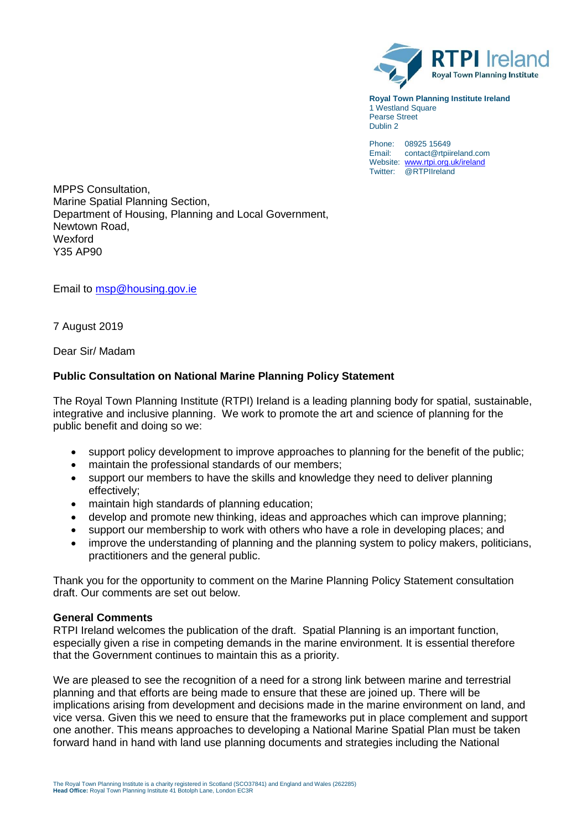

**Royal Town Planning Institute Ireland** 1 Westland Square Pearse Street Dublin 2

Phone: 08925 15649 Email: contact@rtpiireland.com Website: [www.rtpi.org.uk/ireland](http://www.rtpi.org.uk/ireland) Twitter: @RTPIIreland

MPPS Consultation, Marine Spatial Planning Section, Department of Housing, Planning and Local Government, Newtown Road, Wexford Y35 AP90

Email to [msp@housing.gov.ie](mailto:msp@housing.gov.ie)

7 August 2019

Dear Sir/ Madam

## **Public Consultation on National Marine Planning Policy Statement**

The Royal Town Planning Institute (RTPI) Ireland is a leading planning body for spatial, sustainable, integrative and inclusive planning. We work to promote the art and science of planning for the public benefit and doing so we:

- support policy development to improve approaches to planning for the benefit of the public;
- maintain the professional standards of our members;
- support our members to have the skills and knowledge they need to deliver planning effectively;
- maintain high standards of planning education;
- develop and promote new thinking, ideas and approaches which can improve planning;
- support our membership to work with others who have a role in developing places; and
- improve the understanding of planning and the planning system to policy makers, politicians, practitioners and the general public.

Thank you for the opportunity to comment on the Marine Planning Policy Statement consultation draft. Our comments are set out below.

### **General Comments**

RTPI Ireland welcomes the publication of the draft. Spatial Planning is an important function, especially given a rise in competing demands in the marine environment. It is essential therefore that the Government continues to maintain this as a priority.

We are pleased to see the recognition of a need for a strong link between marine and terrestrial planning and that efforts are being made to ensure that these are joined up. There will be implications arising from development and decisions made in the marine environment on land, and vice versa. Given this we need to ensure that the frameworks put in place complement and support one another. This means approaches to developing a National Marine Spatial Plan must be taken forward hand in hand with land use planning documents and strategies including the National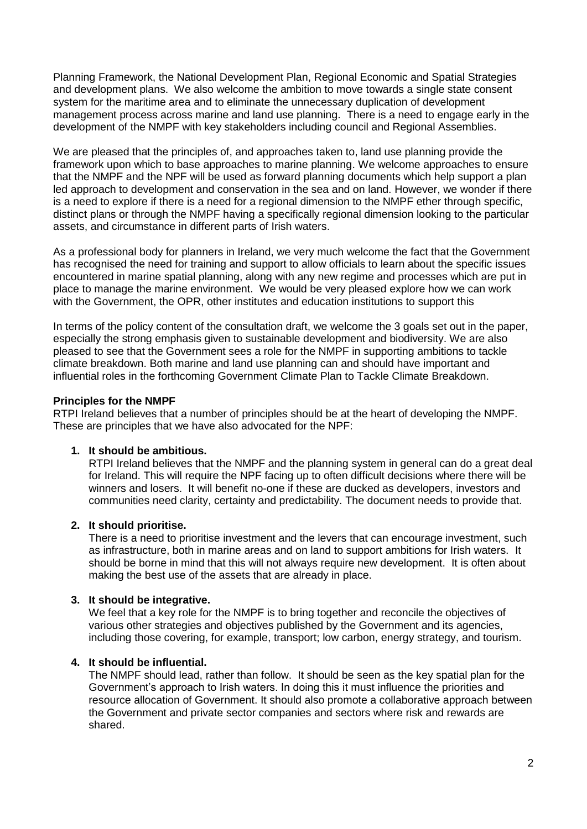Planning Framework, the National Development Plan, Regional Economic and Spatial Strategies and development plans. We also welcome the ambition to move towards a single state consent system for the maritime area and to eliminate the unnecessary duplication of development management process across marine and land use planning. There is a need to engage early in the development of the NMPF with key stakeholders including council and Regional Assemblies.

We are pleased that the principles of, and approaches taken to, land use planning provide the framework upon which to base approaches to marine planning. We welcome approaches to ensure that the NMPF and the NPF will be used as forward planning documents which help support a plan led approach to development and conservation in the sea and on land. However, we wonder if there is a need to explore if there is a need for a regional dimension to the NMPF ether through specific, distinct plans or through the NMPF having a specifically regional dimension looking to the particular assets, and circumstance in different parts of Irish waters.

As a professional body for planners in Ireland, we very much welcome the fact that the Government has recognised the need for training and support to allow officials to learn about the specific issues encountered in marine spatial planning, along with any new regime and processes which are put in place to manage the marine environment. We would be very pleased explore how we can work with the Government, the OPR, other institutes and education institutions to support this

In terms of the policy content of the consultation draft, we welcome the 3 goals set out in the paper, especially the strong emphasis given to sustainable development and biodiversity. We are also pleased to see that the Government sees a role for the NMPF in supporting ambitions to tackle climate breakdown. Both marine and land use planning can and should have important and influential roles in the forthcoming Government Climate Plan to Tackle Climate Breakdown.

## **Principles for the NMPF**

RTPI Ireland believes that a number of principles should be at the heart of developing the NMPF. These are principles that we have also advocated for the NPF:

#### **1. It should be ambitious.**

RTPI Ireland believes that the NMPF and the planning system in general can do a great deal for Ireland. This will require the NPF facing up to often difficult decisions where there will be winners and losers. It will benefit no-one if these are ducked as developers, investors and communities need clarity, certainty and predictability. The document needs to provide that.

#### **2. It should prioritise.**

There is a need to prioritise investment and the levers that can encourage investment, such as infrastructure, both in marine areas and on land to support ambitions for Irish waters. It should be borne in mind that this will not always require new development. It is often about making the best use of the assets that are already in place.

#### **3. It should be integrative.**

We feel that a key role for the NMPF is to bring together and reconcile the objectives of various other strategies and objectives published by the Government and its agencies, including those covering, for example, transport; low carbon, energy strategy, and tourism.

## **4. It should be influential.**

The NMPF should lead, rather than follow. It should be seen as the key spatial plan for the Government's approach to Irish waters. In doing this it must influence the priorities and resource allocation of Government. It should also promote a collaborative approach between the Government and private sector companies and sectors where risk and rewards are shared.